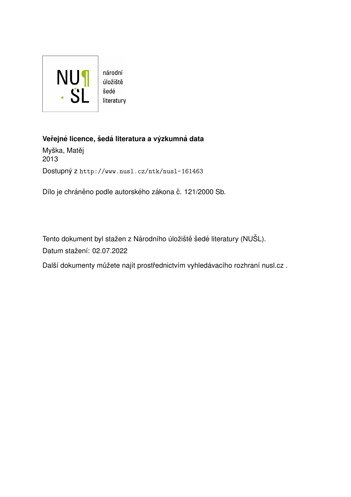

úložiště literatury

#### **Verejn ˇ e licence, ´ sed ˇ a literatura a v ´yzkumn ´ a data ´**

Myška, Matěj 2013 Dostupný z <http://www.nusl.cz/ntk/nusl-161463>

Dílo je chráněno podle autorského zákona č. 121/2000 Sb.

Tento dokument byl stažen z Národního úložiště šedé literatury (NUŠL). Datum stažení: 02.07.2022

Další dokumenty můžete najít prostřednictvím vyhledávacího rozhraní [nusl.cz](http://www.nusl.cz) .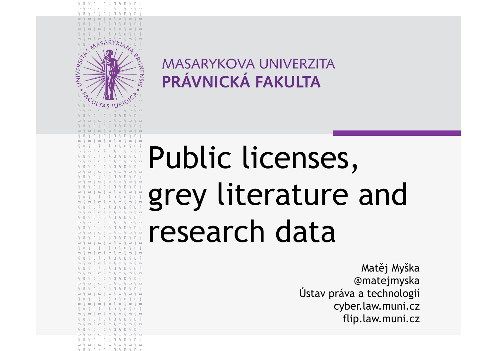$$0 $0 $0 $0 $0 $0 $0 $0 $0 $$  $\begin{array}{cccccccccccccc} \Box & \S & \Box & \S & \Box & \S & \Box & \S & \Box & \S & \Box & \S & \Box & \S & \Box & \S & \Box & \S & \Box & \S & \Box & \S & \Box & \S & \Box & \S & \Box & \S & \Box & \S & \Box & \S & \Box & \S & \Box & \S & \Box & \S & \Box & \S & \Box & \S & \Box & \S & \Box & \S & \Box & \S & \Box & \S & \Box & \S & \Box & \S & \Box & \S & \Box & \S & \Box & \S & \Box & \S & \Box & \S & \Box & \S & \Box & \S & \Box & \S &$ 

**RUNENSIS** 

 $\begin{array}{c} \square \end{array} \begin{array}{c} \square \end{array} \begin{array}{c} \square \end{array} \begin{array}{c} \square \end{array} \begin{array}{c} \square \end{array} \begin{array}{c} \square \end{array} \begin{array}{c} \square \end{array}$ 

 $\Box$ 

 $\begin{array}{cccccccccccccc} \Box & \Box & \Box & \Box & \Box & \Box & \Box & \Box \end{array}$ 

 $\sqcap$   $\{$   $\sqcap$   $\{$   $\sqcap$   $\sqcap$   $\{$   $\sqcap$   $\sqcap$   $\sqcap$   $\sqcap$   $\sqcap$   $\sqcap$   $\sqcap$   $\sqcap$   $\sqcap$   $\sqcap$   $\sqcap$   $\sqcap$   $\sqcap$   $\sqcap$   $\sqcap$   $\sqcap$   $\sqcap$   $\sqcap$   $\sqcap$   $\sqcap$   $\sqcap$   $\sqcap$   $\$  $\begin{array}{cccccccccccccc} \multicolumn{4}{c}{} & \multicolumn{4}{c}{} & \multicolumn{4}{c}{} & \multicolumn{4}{c}{} & \multicolumn{4}{c}{} & \multicolumn{4}{c}{} & \multicolumn{4}{c}{} & \multicolumn{4}{c}{} & \multicolumn{4}{c}{} & \multicolumn{4}{c}{} & \multicolumn{4}{c}{} & \multicolumn{4}{c}{} & \multicolumn{4}{c}{} & \multicolumn{4}{c}{} & \multicolumn{4}{c}{} & \multicolumn{4}{c}{} & \multicolumn{4}{c}{} & \multicolumn{4}{c}{} & \multicolumn{4}{c}{} & \$ 

 $-5$ 

 $S \cap S \cap S \cap S \cap S \cap S \cap S$  $S \cap S \cap S \cap S \cap S \cap S \cap S$ 

 $3 - 3 - 1$ 

UNIVERSITY

### Public licenses,  $\Box \S \Box \S \Box$ ---------- literature and grey $\begin{array}{cccccccccccccc} \Box & \S & \Box & \S & \Box & \S & \Box & \S & \Box & \S & \Box & \S & \Box & \S & \Box & \S & \Box & \S & \Box & \S & \Box & \S & \Box & \S & \Box & \S & \Box & \S & \Box & \S & \Box & \S & \Box & \S & \Box & \S & \Box & \S & \Box & \S & \Box & \S & \Box & \S & \Box & \S & \Box & \S & \Box & \S & \Box & \S & \Box & \S & \Box & \S & \Box & \S & \Box & \S & \Box & \S & \Box & \S & \Box & \S & \Box & \S & \Box & \S &$ research data  $\begin{array}{cccccccccccccc} \Box & \Diamond & \Box & \Diamond & \Box & \Diamond & \Box & \Diamond & \Box \end{array}$

Matěj Myška @matejmyska Ústav práva a technologiícyber.law.muni.czflip.law.muni.cz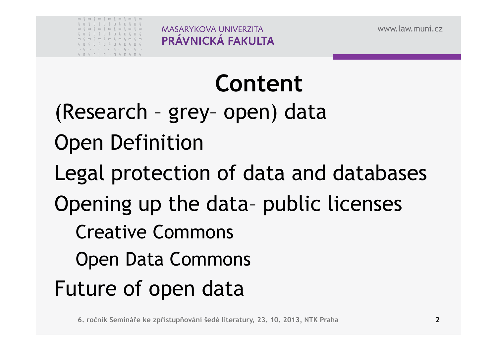

# **Content**

(Research – grey– open) data Open DefinitionLegal protection of data and databases Opening up the data– public licenses Creative Commons Open Data CommonsFuture of open data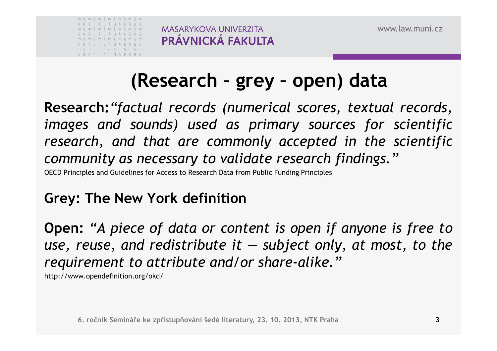

## **(Research – grey – open) data**

**Research:***"factual records (numerical scores, textual records, images and sounds) used as primary sources for scientific research, and that are commonly accepted in the scientific community as necessary to validate research findings."*

OECD Principles and Guidelines for Access to Research Data from Public Funding Principles

## **Grey: The New York definition**

 $\quad$  Open: "A piece of data or content is open if anyone is free to *use, reuse, and redistribute it — subject only, at most, to therequirement to attribute and/or share-alike."*

http://www.opendefinition.org/okd/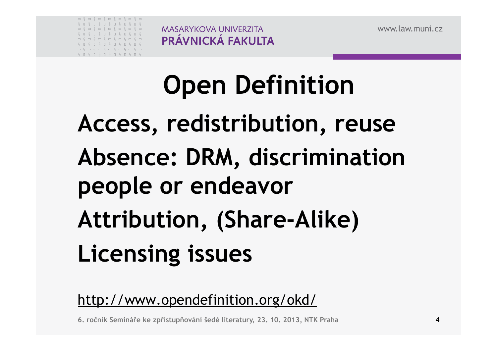| É                    | П      | $S \cup S$                                                                      |          | $\Box$ | $S \cup S \cup S \cup S$ |                                      |  |        |  |
|----------------------|--------|---------------------------------------------------------------------------------|----------|--------|--------------------------|--------------------------------------|--|--------|--|
| $\qquad \qquad \Box$ |        | $\S = \S = \S = \S = \S = \S = \S =$                                            |          |        |                          |                                      |  |        |  |
| Š.                   | $\Box$ | $S \cup$                                                                        | $S \cup$ |        | $S \cup S \cup S \cup S$ |                                      |  |        |  |
|                      |        |                                                                                 |          |        |                          |                                      |  |        |  |
| $\Box$               |        |                                                                                 |          |        |                          | $\S = \S = \S = \S = \S = \S = \S =$ |  |        |  |
|                      |        | S D S D S D S D S D S                                                           |          |        |                          |                                      |  |        |  |
| $\qquad \qquad \Box$ |        | $\begin{array}{cccccccccc} \xi = \xi = \xi = \xi = \xi = \xi = \xi \end{array}$ |          |        |                          |                                      |  | $\Box$ |  |

# **Open DefinitionAccess, redistribution, reuseAbsence: DRM, discriminationpeople or endeavor Attribution, (Share-Alike)Licensing issues**

http://www.opendefinition.org/okd/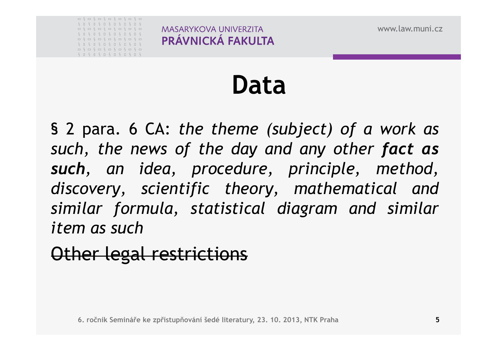|  |  | = \$ = \$ = \$ = \$ = \$ = \$ =               |  |  |  |  |  |
|--|--|-----------------------------------------------|--|--|--|--|--|
|  |  | $S \cup S \cup S \cup S \cup S \cup S \cup S$ |  |  |  |  |  |
|  |  | = \$ = \$ = \$ = \$ = \$ = \$ =               |  |  |  |  |  |
|  |  | $S \cup S \cup S \cup S \cup S \cup S \cup S$ |  |  |  |  |  |
|  |  | - 5 - 5 - 5 - 5 - 5 - 5 -                     |  |  |  |  |  |
|  |  | $S \cup S \cup S \cup S \cup S \cup S \cup S$ |  |  |  |  |  |
|  |  |                                               |  |  |  |  |  |
|  |  | $S \cup S \cup S \cup S \cup S \cup S \cup S$ |  |  |  |  |  |

# **Data**

§ <sup>2</sup> para. <sup>6</sup> CA: *the theme (subject) of <sup>a</sup> work as such, the news of the day and any other fact as such, an idea, procedure, principle, method, discovery, scientific theory, mathematical and similar formula, statistical diagram and similar item as such*

### Other legal restrictions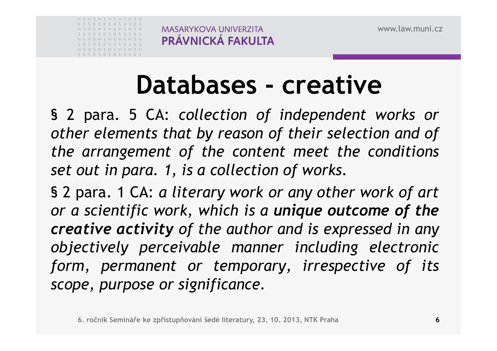

# **Databases - creative**

 § <sup>2</sup> para. <sup>5</sup> CA: *collection of independent works or other elements that by reason of their selection and of the arrangement of the content meet the conditions set out in para. 1, is <sup>a</sup> collection of works.*

§ <sup>2</sup> para. <sup>1</sup> CA: *<sup>a</sup> literary work or any other work of art or <sup>a</sup> scientific work, which is <sup>a</sup> unique outcome of the creative activity of the author and is expressed in any objectively perceivable manner including electronic form, permanent or temporary, irrespective of its scope, purpose or significance.*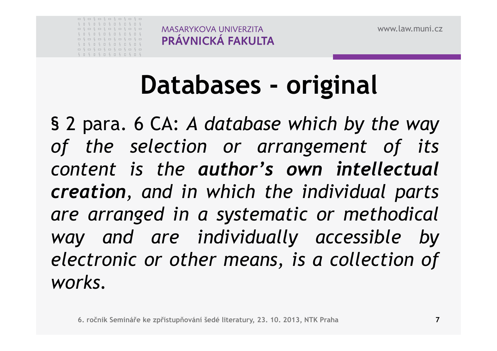

# **Databases - original**

§ <sup>2</sup> para. <sup>6</sup> CA: *<sup>A</sup> database which by the way of the selection or arrangement of its content is the author's own intellectual creation, and in which the individual parts are arranged in <sup>a</sup> systematic or methodical way and are individually accessible by electronic or other means, is <sup>a</sup> collection of works.*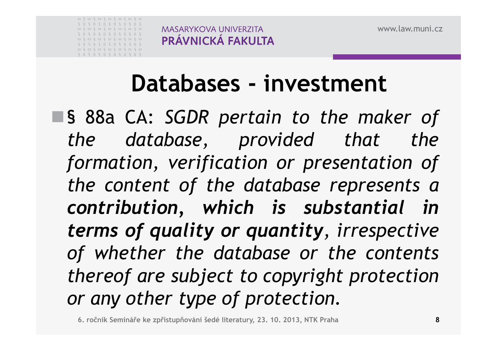

# **Databases - investment**

§ 88a CA: *SGDR pertain to the maker of the database, provided that the formation, verification or presentation of the content of the database represents <sup>a</sup> contribution, which is substantial in terms of quality or quantity, irrespective of whether the database or the contents thereof are subject to copyright protectionor any other type of protection.*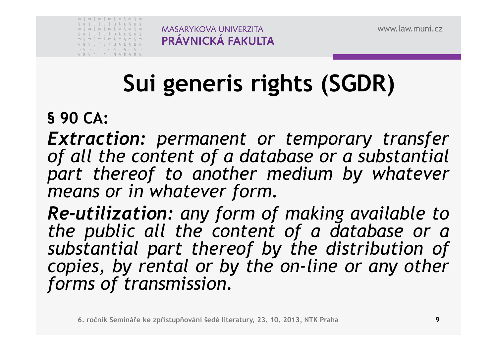| $S \cap$ |        | $S \cup$                        |  | $S \cup S \cup S \cup$ |  | S | $\Box$ |  |
|----------|--------|---------------------------------|--|------------------------|--|---|--------|--|
|          |        |                                 |  |                        |  |   |        |  |
| $S \cap$ |        | $S \cup S \cup S \cup S \cup S$ |  |                        |  |   | $\Box$ |  |
|          |        | ----------------                |  |                        |  |   |        |  |
| S.       | $\Box$ | $S \cup S \cup S \cup S \cup S$ |  |                        |  |   | $\Box$ |  |
| $\Box$   |        | $\S = \S = \S = \S = \S = \S =$ |  |                        |  |   |        |  |
|          |        | S 0 S 0 S 0 S 0 S 0 S 0 S       |  |                        |  |   |        |  |

## PRÁVNICKÁ FAKULTA

**MASARYKOVA UNIVERZITA** 

## **Sui generis rights (SGDR)**

### **§ <sup>90</sup> CA:**

*Extraction: permanent or temporary transfer of all the content of <sup>a</sup> database or <sup>a</sup> substantial part thereof to another medium by whatever means or in whatever form.*

*Re-utilization: any form of making available to the public all the content of <sup>a</sup> database or <sup>a</sup> substantial part thereof by the distribution of copies, by rental or by the on-line or any other forms of transmission.*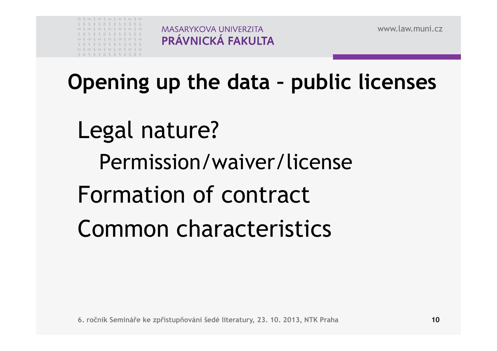|  |  | $S \cup S \cup S \cup S \cup S \cup S \cup S$ |  |  |  |  |  |
|--|--|-----------------------------------------------|--|--|--|--|--|
|  |  | = \$ = \$ = \$ = \$ = \$ = \$ =               |  |  |  |  |  |
|  |  | $S \cup S \cup S \cup S \cup S \cup S \cup S$ |  |  |  |  |  |
|  |  |                                               |  |  |  |  |  |
|  |  |                                               |  |  |  |  |  |
|  |  | $S \cup S \cup S \cup S \cup S \cup S \cup S$ |  |  |  |  |  |
|  |  |                                               |  |  |  |  |  |

**Opening up the data – public licenses**

Legal nature? Permission/waiver/licenseFormation of contract Common characteristics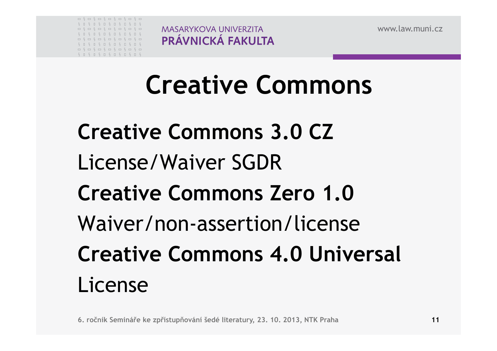| S                    | п      | $S \cap$                                                                                                                                                                                                                                                                                                                                                                                                                                       | S                                                                                                       | $\Box$ | $S \Box$                 | $S \Box$ | $S \square S$ |        |  |
|----------------------|--------|------------------------------------------------------------------------------------------------------------------------------------------------------------------------------------------------------------------------------------------------------------------------------------------------------------------------------------------------------------------------------------------------------------------------------------------------|---------------------------------------------------------------------------------------------------------|--------|--------------------------|----------|---------------|--------|--|
| $\qquad \qquad \Box$ |        | $\begin{array}{cccccccccccccc} \zeta & \Box & \zeta & \Box & \zeta & \Box & \zeta & \Box & \zeta & \Box & \zeta & \Box \end{array}$                                                                                                                                                                                                                                                                                                            |                                                                                                         |        |                          |          |               |        |  |
| $S \cap$             |        | $S \cup$                                                                                                                                                                                                                                                                                                                                                                                                                                       | $S \cup$                                                                                                |        | $S \cup S \cup S \cup S$ |          |               |        |  |
|                      |        |                                                                                                                                                                                                                                                                                                                                                                                                                                                |                                                                                                         |        |                          |          |               |        |  |
| S.                   | $\Box$ | $S \cup$                                                                                                                                                                                                                                                                                                                                                                                                                                       | $S \cup S \cup S \cup S \cup S$                                                                         |        |                          |          |               |        |  |
| $\qquad \qquad \Box$ |        | $\begin{array}{cccccccccccccc} \zeta & \text{m} & \zeta & \text{m} & \zeta & \text{m} & \zeta & \text{m} & \zeta & \text{m} & \zeta & \text{m} & \zeta & \text{m} & \zeta & \text{m} & \zeta & \text{m} & \zeta & \text{m} & \zeta & \text{m} & \zeta & \text{m} & \zeta & \text{m} & \zeta & \text{m} & \zeta & \text{m} & \zeta & \text{m} & \zeta & \text{m} & \zeta & \text{m} & \zeta & \text{m} & \zeta & \text{m} & \zeta & \text{m} &$ |                                                                                                         |        |                          |          |               |        |  |
|                      |        | $\Box$                                                                                                                                                                                                                                                                                                                                                                                                                                         | $\begin{array}{ccccccccccccccccc} \Box & \in & \Box & \in & \Box & \in & \Box & \in & \Box \end{array}$ |        |                          |          |               | $\Box$ |  |

# **Creative Commons**

**Creative Commons 3.0 CZ** License/Waiver SGDR**Creative Commons Zero 1.0**Waiver/non-assertion/license**Creative Commons 4.0 Universal** License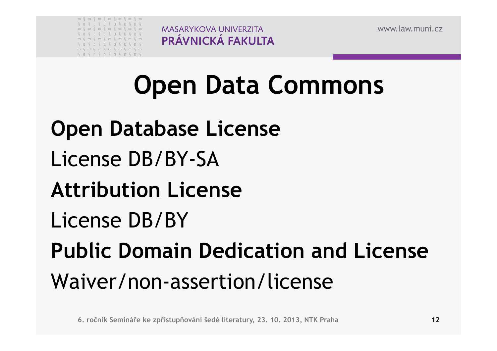|            |        |              | = \ = \ = \ = \ = \ = \ =                                     |             |  |  |     |  |
|------------|--------|--------------|---------------------------------------------------------------|-------------|--|--|-----|--|
| $\epsilon$ | $\Box$ | $S \cup$     | $S \cup$                                                      | S I S I S I |  |  | - S |  |
|            |        |              |                                                               |             |  |  |     |  |
| $S \Box$   |        |              | $S \cup S \cup S \cup S \cup S \cup S$                        |             |  |  |     |  |
|            |        |              |                                                               |             |  |  |     |  |
|            |        |              | ----------------                                              |             |  |  |     |  |
| $S \Box$   |        |              | $S \cup S \cup S \cup S \cup S \cup S$                        |             |  |  |     |  |
|            |        | $\Box$ $\in$ | $\S \sqcup \S \sqcup \S \sqcup \S \sqcup \S \sqcup \S \sqcup$ |             |  |  |     |  |

## **Open Data Commons**

**Open Database License**License DB/BY-SA**Attribution License**License DB/BY**Public Domain Dedication and License**Waiver/non-assertion/license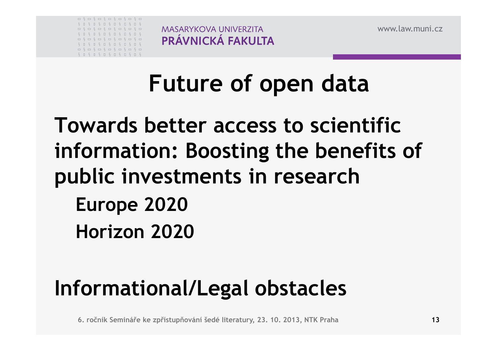|                      |        | = \ = \ = \ = \ = \ = \ =                                                                                                                                                                                                                                                                                                                                                                                                                        |  |                                 |  |  |        |     |  |
|----------------------|--------|--------------------------------------------------------------------------------------------------------------------------------------------------------------------------------------------------------------------------------------------------------------------------------------------------------------------------------------------------------------------------------------------------------------------------------------------------|--|---------------------------------|--|--|--------|-----|--|
| S                    | п      | $S \cup$                                                                                                                                                                                                                                                                                                                                                                                                                                         |  | $S \cup S \cup S \cup S$        |  |  | $\Box$ |     |  |
|                      |        |                                                                                                                                                                                                                                                                                                                                                                                                                                                  |  |                                 |  |  |        |     |  |
| S.                   | $\Box$ | $S \cup$                                                                                                                                                                                                                                                                                                                                                                                                                                         |  | $S \cup S \cup S \cup S$        |  |  | $\Box$ | - S |  |
|                      |        | ------------                                                                                                                                                                                                                                                                                                                                                                                                                                     |  |                                 |  |  | $S =$  |     |  |
|                      |        |                                                                                                                                                                                                                                                                                                                                                                                                                                                  |  |                                 |  |  |        |     |  |
| $S \cap$             |        | $S \cup$                                                                                                                                                                                                                                                                                                                                                                                                                                         |  | $S \cup S \cup S \cup S \cup S$ |  |  |        | - S |  |
| $\qquad \qquad \Box$ |        | $\begin{array}{cccccccccccccc} \zeta & \fbox{---} & \zeta & \fbox{---} & \zeta & \fbox{---} & \zeta & \fbox{---} & \zeta & \fbox{---} & \zeta & \fbox{---} & \zeta & \fbox{---} & \zeta & \fbox{---} & \zeta & \fbox{---} & \zeta & \fbox{---} & \zeta & \fbox{---} & \zeta & \fbox{---} & \zeta & \fbox{---} & \zeta & \fbox{---} & \zeta & \fbox{---} & \zeta & \fbox{---} & \zeta & \fbox{---} & \zeta & \fbox{---} & \zeta & \fbox{---} & \$ |  |                                 |  |  | $S =$  |     |  |

# **Future of open data**

## **Towards better access to scientific information: Boosting the benefits of public investments in research Europe <sup>2020</sup>Horizon <sup>2020</sup>**

## **Informational/Legal obstacles**